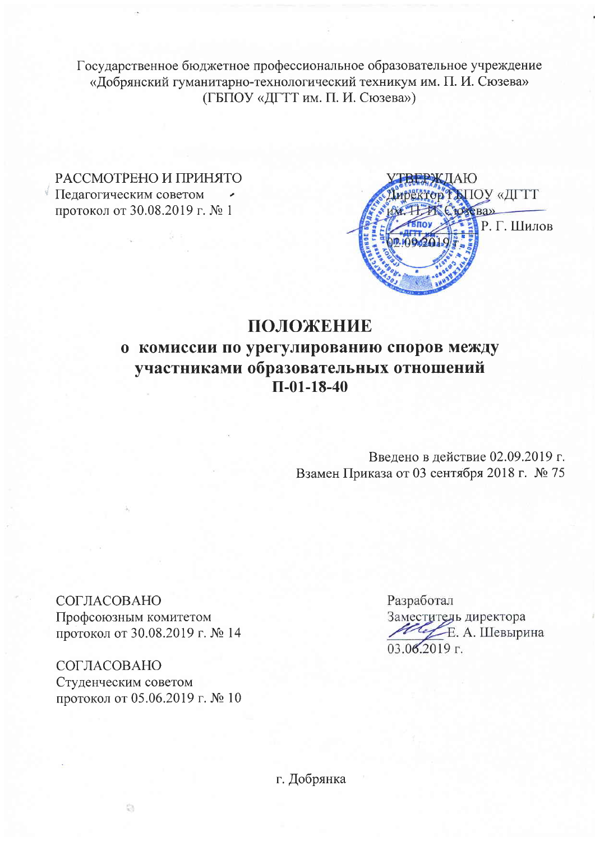Государственное бюджетное профессиональное образовательное учреждение «Добрянский гуманитарно-технологический техникум им. П. И. Сюзева» (ГБПОУ «ДГТТ им. П. И. Сюзева»)

РАССМОТРЕНО И ПРИНЯТО Педагогическим советом протокол от 30.08.2019 г. № 1



# ПОЛОЖЕНИЕ о комиссии по урегулированию споров между участниками образовательных отношений  $\Pi$ -01-18-40

Введено в действие 02.09.2019 г. Взамен Приказа от 03 сентября 2018 г. № 75

СОГЛАСОВАНО Профсоюзным комитетом протокол от 30.08.2019 г. № 14

СОГЛАСОВАНО Студенческим советом протокол от 05.06.2019 г. № 10 Разработал Заместитель директора Е. А. Шевырина  $03.062019$  r.

г. Добрянка

ä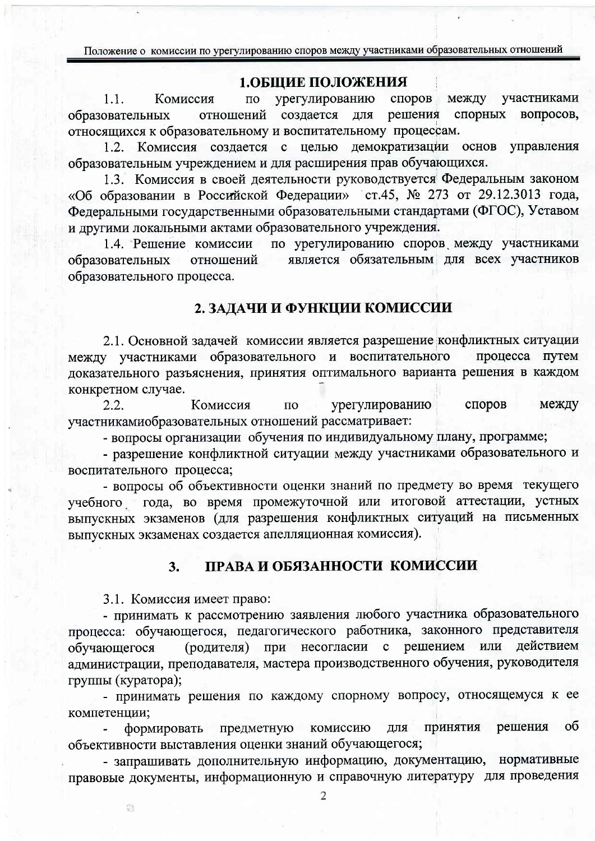Положение о комиссии по урегулированию споров между участниками образовательных отношений

#### 1.ОБЩИЕ ПОЛОЖЕНИЯ

урегулированию споров участниками  $1.1.$ между Комиссия  $\Pi$ O отношений создается для решения спорных вопросов, образовательных относящихся к образовательному и воспитательному процессам.

1.2. Комиссия создается с целью демократизации основ управления образовательным учреждением и для расширения прав обучающихся.

1.3. Комиссия в своей деятельности руководствуется Федеральным законом «Об образовании в Российской Федерации» ст.45, № 273 от 29.12.3013 года, Федеральными государственными образовательными стандартами (ФГОС), Уставом и другими локальными актами образовательного учреждения.

по урегулированию споров между участниками 1.4. Решение комиссии является обязательным для всех участников образовательных отношений образовательного процесса.

### 2. ЗАДАЧИ И ФУНКЦИИ КОМИССИИ

2.1. Основной задачей комиссии является разрешение конфликтных ситуации между участниками образовательного и воспитательного процесса путем доказательного разъяснения, принятия оптимального варианта решения в каждом конкретном случае.

 $2.2.$ Комиссия урегулированию споров между  $\Pi$ O участникамиобразовательных отношений рассматривает:

- вопросы организации обучения по индивидуальному плану, программе;

- разрешение конфликтной ситуации между участниками образовательного и воспитательного процесса;

- вопросы об объективности оценки знаний по предмету во время текущего учебного года, во время промежуточной или итоговой аттестации, устных выпускных экзаменов (для разрешения конфликтных ситуаций на письменных выпускных экзаменах создается апелляционная комиссия).

#### ПРАВА И ОБЯЗАННОСТИ КОМИССИИ  $3.$

3.1. Комиссия имеет право:

- принимать к рассмотрению заявления любого участника образовательного процесса: обучающегося, педагогического работника, законного представителя (родителя) при несогласии с решением или действием обучающегося администрации, преподавателя, мастера производственного обучения, руководителя группы (куратора);

- принимать решения по каждому спорному вопросу, относящемуся к ее компетенции;

ПРИНЯТИЯ решения  $\overline{00}$ предметную комиссию ДЛЯ формировать объективности выставления оценки знаний обучающегося;

- запрашивать дополнительную информацию, документацию, нормативные правовые документы, информационную и справочную литературу для проведения

ä